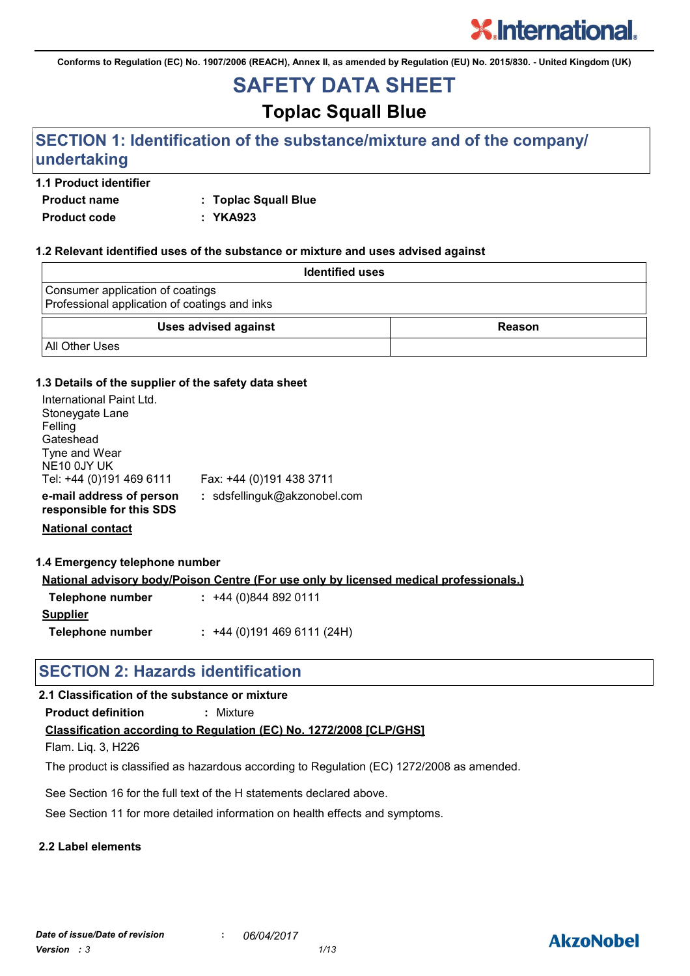**Conforms to Regulation (EC) No. 1907/2006 (REACH), Annex II, as amended by Regulation (EU) No. 2015/830. - United Kingdom (UK)**

## **SAFETY DATA SHEET**

### **Toplac Squall Blue**

### **SECTION 1: Identification of the substance/mixture and of the company/ undertaking**

#### **1.1 Product identifier**

**Product name : Toplac Squall Blue**

**Product code : YKA923**

#### **1.2 Relevant identified uses of the substance or mixture and uses advised against**

| <b>Identified uses</b>                                                            |        |
|-----------------------------------------------------------------------------------|--------|
| Consumer application of coatings<br>Professional application of coatings and inks |        |
| <b>Uses advised against</b>                                                       | Reason |
| <b>All Other Uses</b>                                                             |        |

#### **1.3 Details of the supplier of the safety data sheet**

| International Paint Ltd.<br>Stoneygate Lane<br>Felling |                              |
|--------------------------------------------------------|------------------------------|
| Gateshead                                              |                              |
| Tyne and Wear                                          |                              |
| NE10 0JY UK                                            |                              |
| Tel: +44 (0)191 469 6111                               | Fax: +44 (0)191 438 3711     |
| e-mail address of person<br>responsible for this SDS   | : sdsfellinguk@akzonobel.com |

**National contact**

#### **1.4 Emergency telephone number**

**National advisory body/Poison Centre (For use only by licensed medical professionals.)**

| Telephone number | $: +44(0)8448920111$      |
|------------------|---------------------------|
| <b>Supplier</b>  |                           |
| Telephone number | $: +44(0)1914696111(24H)$ |

### **SECTION 2: Hazards identification**

#### **2.1 Classification of the substance or mixture**

**Product definition :** Mixture

#### **Classification according to Regulation (EC) No. 1272/2008 [CLP/GHS]**

Flam. Liq. 3, H226

The product is classified as hazardous according to Regulation (EC) 1272/2008 as amended.

See Section 16 for the full text of the H statements declared above.

See Section 11 for more detailed information on health effects and symptoms.

#### **2.2 Label elements**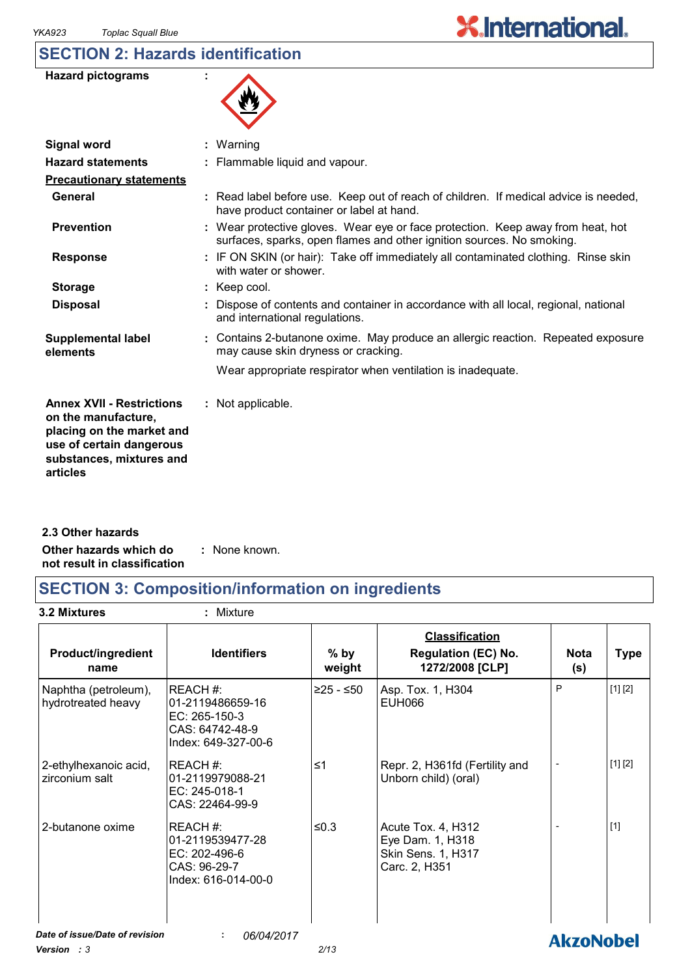### **SECTION 2: Hazards identification**

| <b>Hazard pictograms</b> |  |
|--------------------------|--|
|--------------------------|--|



| <b>Signal word</b>                                                                                                                                       | $:$ Warning                                                                                                                                              |
|----------------------------------------------------------------------------------------------------------------------------------------------------------|----------------------------------------------------------------------------------------------------------------------------------------------------------|
| <b>Hazard statements</b>                                                                                                                                 | : Flammable liquid and vapour.                                                                                                                           |
| <b>Precautionary statements</b>                                                                                                                          |                                                                                                                                                          |
| General                                                                                                                                                  | : Read label before use. Keep out of reach of children. If medical advice is needed,<br>have product container or label at hand.                         |
| <b>Prevention</b>                                                                                                                                        | : Wear protective gloves. Wear eye or face protection. Keep away from heat, hot<br>surfaces, sparks, open flames and other ignition sources. No smoking. |
| <b>Response</b>                                                                                                                                          | : IF ON SKIN (or hair): Take off immediately all contaminated clothing. Rinse skin<br>with water or shower.                                              |
| <b>Storage</b>                                                                                                                                           | : Keep cool.                                                                                                                                             |
| <b>Disposal</b>                                                                                                                                          | : Dispose of contents and container in accordance with all local, regional, national<br>and international regulations.                                   |
| <b>Supplemental label</b><br>elements                                                                                                                    | : Contains 2-butanone oxime. May produce an allergic reaction. Repeated exposure<br>may cause skin dryness or cracking.                                  |
|                                                                                                                                                          | Wear appropriate respirator when ventilation is inadequate.                                                                                              |
| <b>Annex XVII - Restrictions</b><br>on the manufacture,<br>placing on the market and<br>use of certain dangerous<br>substances, mixtures and<br>articles | : Not applicable.                                                                                                                                        |
|                                                                                                                                                          |                                                                                                                                                          |

**Other hazards which do : not result in classification** : None known. **2.3 Other hazards**

### **SECTION 3: Composition/information on ingredients**

**3.2 Mixtures :** Mixture

| <b>Product/ingredient</b><br>name          | <b>Identifiers</b>                                                                      | $%$ by<br>weight | <b>Classification</b><br><b>Regulation (EC) No.</b><br>1272/2008 [CLP]        | <b>Nota</b><br>(s) | <b>Type</b> |
|--------------------------------------------|-----------------------------------------------------------------------------------------|------------------|-------------------------------------------------------------------------------|--------------------|-------------|
| Naphtha (petroleum),<br>hydrotreated heavy | REACH#:<br>l01-2119486659-16<br>EC: 265-150-3<br>CAS: 64742-48-9<br>Index: 649-327-00-6 | ≥25 - ≤50        | Asp. Tox. 1, H304<br><b>EUH066</b>                                            | P                  | [1] [2]     |
| 2-ethylhexanoic acid,<br>zirconium salt    | REACH#:<br>01-2119979088-21<br>EC: 245-018-1<br>CAS: 22464-99-9                         | $\leq 1$         | Repr. 2, H361fd (Fertility and<br>Unborn child) (oral)                        |                    | [1] [2]     |
| 2-butanone oxime                           | REACH#:<br>01-2119539477-28<br>EC: 202-496-6<br>CAS: 96-29-7<br>Index: 616-014-00-0     | ≤ $0.3$          | Acute Tox. 4, H312<br>Eye Dam. 1, H318<br>Skin Sens. 1, H317<br>Carc. 2, H351 |                    | $[1]$       |
| Date of issue/Date of revision             | 06/04/2017<br>÷.                                                                        |                  |                                                                               | <b>AkzoNobel</b>   |             |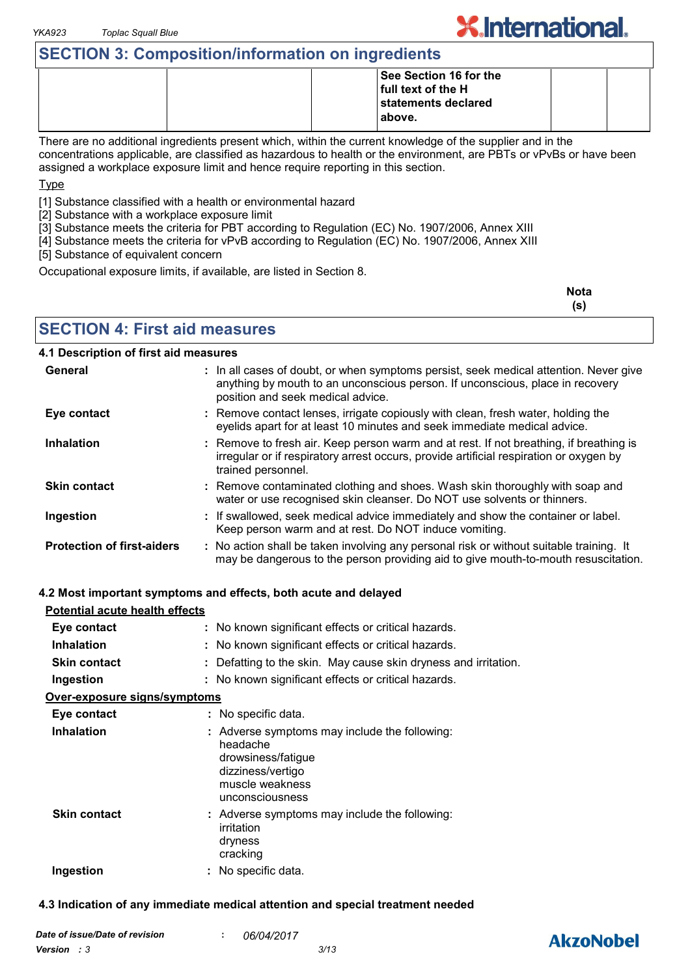### **SECTION 3: Composition/information on ingredients**

|  | See Section 16 for the |  |
|--|------------------------|--|
|  | full text of the H     |  |
|  | statements declared    |  |
|  | above.                 |  |
|  |                        |  |

There are no additional ingredients present which, within the current knowledge of the supplier and in the concentrations applicable, are classified as hazardous to health or the environment, are PBTs or vPvBs or have been assigned a workplace exposure limit and hence require reporting in this section.

Type

[1] Substance classified with a health or environmental hazard

[2] Substance with a workplace exposure limit

[3] Substance meets the criteria for PBT according to Regulation (EC) No. 1907/2006, Annex XIII

[4] Substance meets the criteria for vPvB according to Regulation (EC) No. 1907/2006, Annex XIII

[5] Substance of equivalent concern

Occupational exposure limits, if available, are listed in Section 8.

| <b>Nota</b> |
|-------------|
| (s)         |

**X.International.** 

**SECTION 4: First aid measures**

#### **4.1 Description of first aid measures**

| General                           | : In all cases of doubt, or when symptoms persist, seek medical attention. Never give<br>anything by mouth to an unconscious person. If unconscious, place in recovery<br>position and seek medical advice. |
|-----------------------------------|-------------------------------------------------------------------------------------------------------------------------------------------------------------------------------------------------------------|
| Eye contact                       | : Remove contact lenses, irrigate copiously with clean, fresh water, holding the<br>eyelids apart for at least 10 minutes and seek immediate medical advice.                                                |
| <b>Inhalation</b>                 | : Remove to fresh air. Keep person warm and at rest. If not breathing, if breathing is<br>irregular or if respiratory arrest occurs, provide artificial respiration or oxygen by<br>trained personnel.      |
| <b>Skin contact</b>               | : Remove contaminated clothing and shoes. Wash skin thoroughly with soap and<br>water or use recognised skin cleanser. Do NOT use solvents or thinners.                                                     |
| Ingestion                         | : If swallowed, seek medical advice immediately and show the container or label.<br>Keep person warm and at rest. Do NOT induce vomiting.                                                                   |
| <b>Protection of first-aiders</b> | : No action shall be taken involving any personal risk or without suitable training. It<br>may be dangerous to the person providing aid to give mouth-to-mouth resuscitation.                               |

#### **4.2 Most important symptoms and effects, both acute and delayed**

| Potential acute health effects       |                                                                                                                                            |
|--------------------------------------|--------------------------------------------------------------------------------------------------------------------------------------------|
| Eye contact                          | : No known significant effects or critical hazards.                                                                                        |
| <b>Inhalation</b>                    | : No known significant effects or critical hazards.                                                                                        |
| <b>Skin contact</b>                  | : Defatting to the skin. May cause skin dryness and irritation.                                                                            |
| Ingestion                            | : No known significant effects or critical hazards.                                                                                        |
| <u> Over-exposure signs/symptoms</u> |                                                                                                                                            |
| Eye contact                          | : No specific data.                                                                                                                        |
| <b>Inhalation</b>                    | : Adverse symptoms may include the following:<br>headache<br>drowsiness/fatigue<br>dizziness/vertigo<br>muscle weakness<br>unconsciousness |
| <b>Skin contact</b>                  | : Adverse symptoms may include the following:<br>irritation<br>dryness<br>cracking                                                         |
| Ingestion                            | : No specific data.                                                                                                                        |

#### **4.3 Indication of any immediate medical attention and special treatment needed**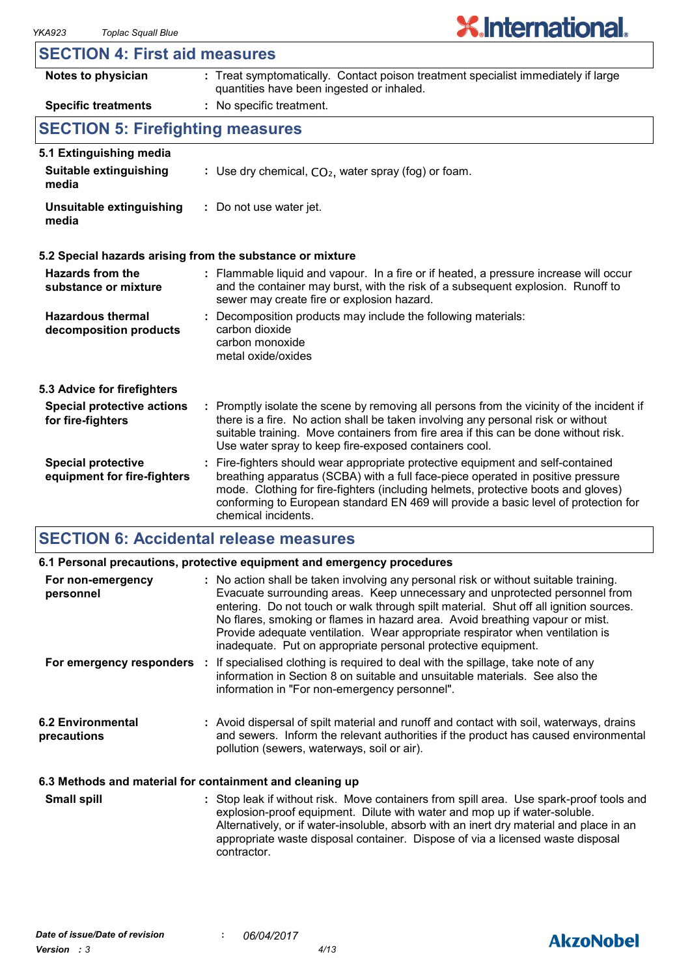#### **SECTION 4: First aid measures**

| Notes to physician                                       | : Treat symptomatically. Contact poison treatment specialist immediately if large<br>quantities have been ingested or inhaled.                                                                                                                                                                                                                                      |  |
|----------------------------------------------------------|---------------------------------------------------------------------------------------------------------------------------------------------------------------------------------------------------------------------------------------------------------------------------------------------------------------------------------------------------------------------|--|
| <b>Specific treatments</b>                               | : No specific treatment.                                                                                                                                                                                                                                                                                                                                            |  |
| <b>SECTION 5: Firefighting measures</b>                  |                                                                                                                                                                                                                                                                                                                                                                     |  |
| 5.1 Extinguishing media                                  |                                                                                                                                                                                                                                                                                                                                                                     |  |
| Suitable extinguishing<br>media                          | : Use dry chemical, $CO2$ , water spray (fog) or foam.                                                                                                                                                                                                                                                                                                              |  |
| Unsuitable extinguishing<br>media                        | : Do not use water jet.                                                                                                                                                                                                                                                                                                                                             |  |
|                                                          | 5.2 Special hazards arising from the substance or mixture                                                                                                                                                                                                                                                                                                           |  |
| <b>Hazards from the</b><br>substance or mixture          | : Flammable liquid and vapour. In a fire or if heated, a pressure increase will occur<br>and the container may burst, with the risk of a subsequent explosion. Runoff to<br>sewer may create fire or explosion hazard.                                                                                                                                              |  |
| <b>Hazardous thermal</b><br>decomposition products       | : Decomposition products may include the following materials:<br>carbon dioxide<br>carbon monoxide<br>metal oxide/oxides                                                                                                                                                                                                                                            |  |
| 5.3 Advice for firefighters                              |                                                                                                                                                                                                                                                                                                                                                                     |  |
| <b>Special protective actions</b><br>for fire-fighters   | : Promptly isolate the scene by removing all persons from the vicinity of the incident if<br>there is a fire. No action shall be taken involving any personal risk or without<br>suitable training. Move containers from fire area if this can be done without risk.<br>Use water spray to keep fire-exposed containers cool.                                       |  |
| <b>Special protective</b><br>equipment for fire-fighters | Fire-fighters should wear appropriate protective equipment and self-contained<br>breathing apparatus (SCBA) with a full face-piece operated in positive pressure<br>mode. Clothing for fire-fighters (including helmets, protective boots and gloves)<br>conforming to European standard EN 469 will provide a basic level of protection for<br>chemical incidents. |  |

### **SECTION 6: Accidental release measures**

|                                                          | 6.1 Personal precautions, protective equipment and emergency procedures                                                                                                                                                                                                                                                                                                                                                                                                                        |  |
|----------------------------------------------------------|------------------------------------------------------------------------------------------------------------------------------------------------------------------------------------------------------------------------------------------------------------------------------------------------------------------------------------------------------------------------------------------------------------------------------------------------------------------------------------------------|--|
| For non-emergency<br>personnel                           | : No action shall be taken involving any personal risk or without suitable training.<br>Evacuate surrounding areas. Keep unnecessary and unprotected personnel from<br>entering. Do not touch or walk through spilt material. Shut off all ignition sources.<br>No flares, smoking or flames in hazard area. Avoid breathing vapour or mist.<br>Provide adequate ventilation. Wear appropriate respirator when ventilation is<br>inadequate. Put on appropriate personal protective equipment. |  |
|                                                          | For emergency responders : If specialised clothing is required to deal with the spillage, take note of any<br>information in Section 8 on suitable and unsuitable materials. See also the<br>information in "For non-emergency personnel".                                                                                                                                                                                                                                                     |  |
| <b>6.2 Environmental</b><br>precautions                  | : Avoid dispersal of spilt material and runoff and contact with soil, waterways, drains<br>and sewers. Inform the relevant authorities if the product has caused environmental<br>pollution (sewers, waterways, soil or air).                                                                                                                                                                                                                                                                  |  |
| 6.3 Methods and material for containment and cleaning up |                                                                                                                                                                                                                                                                                                                                                                                                                                                                                                |  |

Stop leak if without risk. Move containers from spill area. Use spark-proof tools and explosion-proof equipment. Dilute with water and mop up if water-soluble. Alternatively, or if water-insoluble, absorb with an inert dry material and place in an appropriate waste disposal container. Dispose of via a licensed waste disposal contractor. **Small spill :**

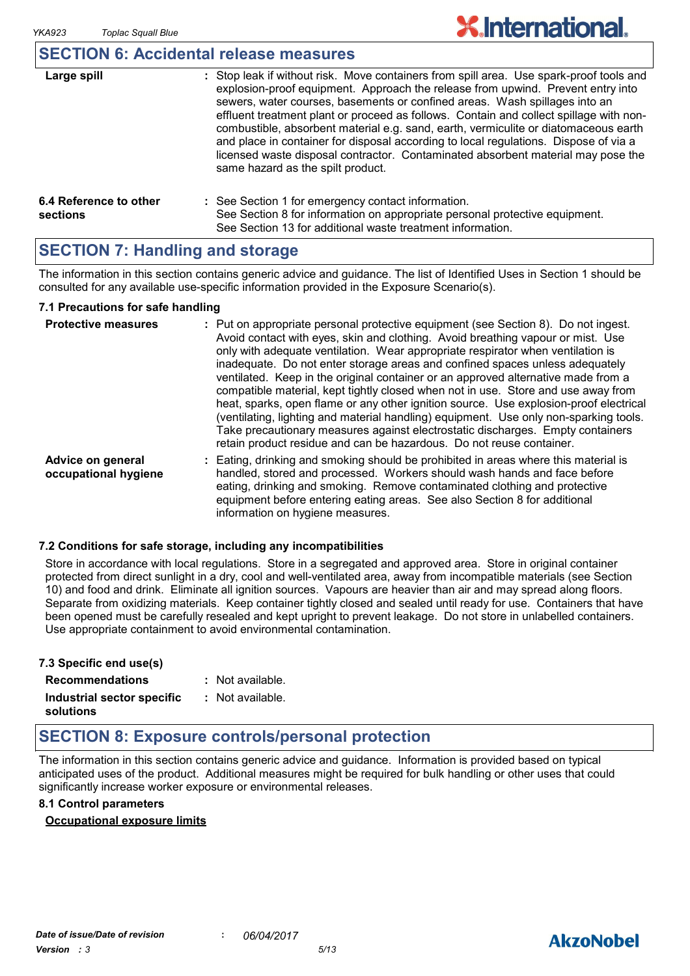### **SECTION 6: Accidental release measures**

| Large spill                        | : Stop leak if without risk. Move containers from spill area. Use spark-proof tools and<br>explosion-proof equipment. Approach the release from upwind. Prevent entry into<br>sewers, water courses, basements or confined areas. Wash spillages into an<br>effluent treatment plant or proceed as follows. Contain and collect spillage with non-<br>combustible, absorbent material e.g. sand, earth, vermiculite or diatomaceous earth<br>and place in container for disposal according to local regulations. Dispose of via a<br>licensed waste disposal contractor. Contaminated absorbent material may pose the<br>same hazard as the spilt product. |
|------------------------------------|------------------------------------------------------------------------------------------------------------------------------------------------------------------------------------------------------------------------------------------------------------------------------------------------------------------------------------------------------------------------------------------------------------------------------------------------------------------------------------------------------------------------------------------------------------------------------------------------------------------------------------------------------------|
| 6.4 Reference to other<br>sections | : See Section 1 for emergency contact information.<br>See Section 8 for information on appropriate personal protective equipment.<br>See Section 13 for additional waste treatment information.                                                                                                                                                                                                                                                                                                                                                                                                                                                            |

### **SECTION 7: Handling and storage**

The information in this section contains generic advice and guidance. The list of Identified Uses in Section 1 should be consulted for any available use-specific information provided in the Exposure Scenario(s).

#### **7.1 Precautions for safe handling**

| <b>Protective measures</b>                | : Put on appropriate personal protective equipment (see Section 8). Do not ingest.<br>Avoid contact with eyes, skin and clothing. Avoid breathing vapour or mist. Use<br>only with adequate ventilation. Wear appropriate respirator when ventilation is<br>inadequate. Do not enter storage areas and confined spaces unless adequately<br>ventilated. Keep in the original container or an approved alternative made from a<br>compatible material, kept tightly closed when not in use. Store and use away from<br>heat, sparks, open flame or any other ignition source. Use explosion-proof electrical<br>(ventilating, lighting and material handling) equipment. Use only non-sparking tools.<br>Take precautionary measures against electrostatic discharges. Empty containers<br>retain product residue and can be hazardous. Do not reuse container. |
|-------------------------------------------|----------------------------------------------------------------------------------------------------------------------------------------------------------------------------------------------------------------------------------------------------------------------------------------------------------------------------------------------------------------------------------------------------------------------------------------------------------------------------------------------------------------------------------------------------------------------------------------------------------------------------------------------------------------------------------------------------------------------------------------------------------------------------------------------------------------------------------------------------------------|
| Advice on general<br>occupational hygiene | : Eating, drinking and smoking should be prohibited in areas where this material is<br>handled, stored and processed. Workers should wash hands and face before<br>eating, drinking and smoking. Remove contaminated clothing and protective<br>equipment before entering eating areas. See also Section 8 for additional<br>information on hygiene measures.                                                                                                                                                                                                                                                                                                                                                                                                                                                                                                  |

#### **7.2 Conditions for safe storage, including any incompatibilities**

Store in accordance with local regulations. Store in a segregated and approved area. Store in original container protected from direct sunlight in a dry, cool and well-ventilated area, away from incompatible materials (see Section 10) and food and drink. Eliminate all ignition sources. Vapours are heavier than air and may spread along floors. Separate from oxidizing materials. Keep container tightly closed and sealed until ready for use. Containers that have been opened must be carefully resealed and kept upright to prevent leakage. Do not store in unlabelled containers. Use appropriate containment to avoid environmental contamination.

| 7.3 Specific end use(s)    |                  |
|----------------------------|------------------|
| <b>Recommendations</b>     | : Not available. |
| Industrial sector specific | : Not available. |
| solutions                  |                  |

### **SECTION 8: Exposure controls/personal protection**

The information in this section contains generic advice and guidance. Information is provided based on typical anticipated uses of the product. Additional measures might be required for bulk handling or other uses that could significantly increase worker exposure or environmental releases.

#### **8.1 Control parameters**

#### **Occupational exposure limits**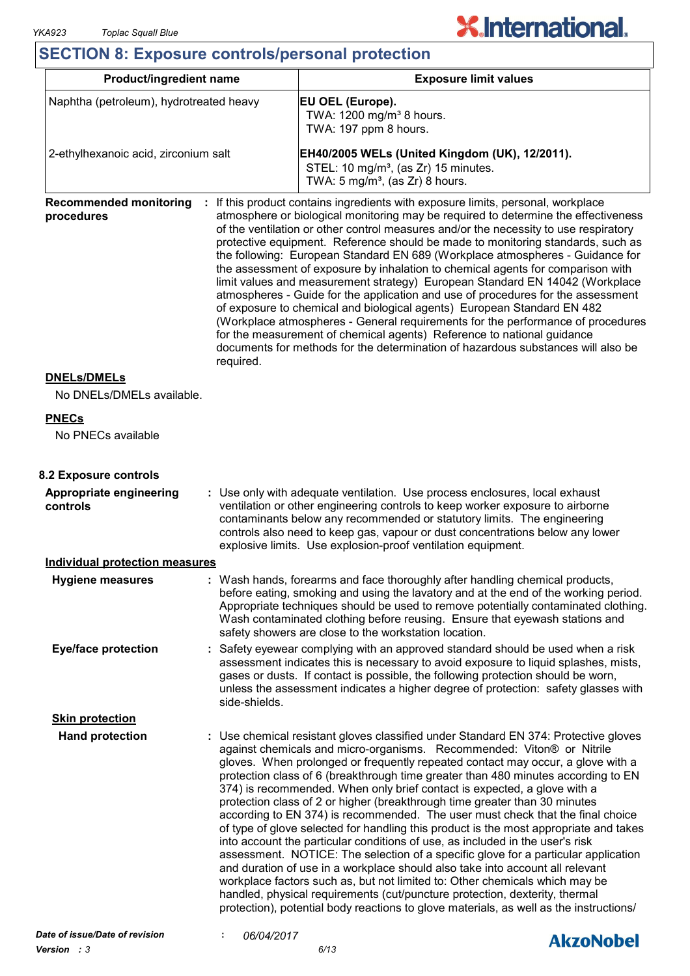### **SECTION 8: Exposure controls/personal protection**

| Product/ingredient name                                  |                                                                                                                                                                                                                                                                                                                                                                                          | <b>Exposure limit values</b>                                                                                                                                                                                                                                                                                                                                                                                                                                                                                                                                                                                                                                                                                                                                                                                                                                                                                                                                                                                                                                                                                                                                                              |  |  |
|----------------------------------------------------------|------------------------------------------------------------------------------------------------------------------------------------------------------------------------------------------------------------------------------------------------------------------------------------------------------------------------------------------------------------------------------------------|-------------------------------------------------------------------------------------------------------------------------------------------------------------------------------------------------------------------------------------------------------------------------------------------------------------------------------------------------------------------------------------------------------------------------------------------------------------------------------------------------------------------------------------------------------------------------------------------------------------------------------------------------------------------------------------------------------------------------------------------------------------------------------------------------------------------------------------------------------------------------------------------------------------------------------------------------------------------------------------------------------------------------------------------------------------------------------------------------------------------------------------------------------------------------------------------|--|--|
| Naphtha (petroleum), hydrotreated heavy                  |                                                                                                                                                                                                                                                                                                                                                                                          | EU OEL (Europe).<br>TWA: 1200 mg/m <sup>3</sup> 8 hours.<br>TWA: 197 ppm 8 hours.                                                                                                                                                                                                                                                                                                                                                                                                                                                                                                                                                                                                                                                                                                                                                                                                                                                                                                                                                                                                                                                                                                         |  |  |
| 2-ethylhexanoic acid, zirconium salt                     |                                                                                                                                                                                                                                                                                                                                                                                          | EH40/2005 WELs (United Kingdom (UK), 12/2011).<br>STEL: 10 mg/m <sup>3</sup> , (as Zr) 15 minutes.<br>TWA: $5 \text{ mg/m}^3$ , (as Zr) 8 hours.                                                                                                                                                                                                                                                                                                                                                                                                                                                                                                                                                                                                                                                                                                                                                                                                                                                                                                                                                                                                                                          |  |  |
| <b>Recommended monitoring</b><br>procedures<br>required. |                                                                                                                                                                                                                                                                                                                                                                                          | If this product contains ingredients with exposure limits, personal, workplace<br>atmosphere or biological monitoring may be required to determine the effectiveness<br>of the ventilation or other control measures and/or the necessity to use respiratory<br>protective equipment. Reference should be made to monitoring standards, such as<br>the following: European Standard EN 689 (Workplace atmospheres - Guidance for<br>the assessment of exposure by inhalation to chemical agents for comparison with<br>limit values and measurement strategy) European Standard EN 14042 (Workplace<br>atmospheres - Guide for the application and use of procedures for the assessment<br>of exposure to chemical and biological agents) European Standard EN 482<br>(Workplace atmospheres - General requirements for the performance of procedures<br>for the measurement of chemical agents) Reference to national guidance<br>documents for methods for the determination of hazardous substances will also be                                                                                                                                                                       |  |  |
| <b>DNELs/DMELs</b>                                       |                                                                                                                                                                                                                                                                                                                                                                                          |                                                                                                                                                                                                                                                                                                                                                                                                                                                                                                                                                                                                                                                                                                                                                                                                                                                                                                                                                                                                                                                                                                                                                                                           |  |  |
| No DNELs/DMELs available.                                |                                                                                                                                                                                                                                                                                                                                                                                          |                                                                                                                                                                                                                                                                                                                                                                                                                                                                                                                                                                                                                                                                                                                                                                                                                                                                                                                                                                                                                                                                                                                                                                                           |  |  |
| <b>PNECs</b>                                             |                                                                                                                                                                                                                                                                                                                                                                                          |                                                                                                                                                                                                                                                                                                                                                                                                                                                                                                                                                                                                                                                                                                                                                                                                                                                                                                                                                                                                                                                                                                                                                                                           |  |  |
| No PNECs available                                       |                                                                                                                                                                                                                                                                                                                                                                                          |                                                                                                                                                                                                                                                                                                                                                                                                                                                                                                                                                                                                                                                                                                                                                                                                                                                                                                                                                                                                                                                                                                                                                                                           |  |  |
| 8.2 Exposure controls                                    |                                                                                                                                                                                                                                                                                                                                                                                          |                                                                                                                                                                                                                                                                                                                                                                                                                                                                                                                                                                                                                                                                                                                                                                                                                                                                                                                                                                                                                                                                                                                                                                                           |  |  |
| Appropriate engineering<br>controls                      | : Use only with adequate ventilation. Use process enclosures, local exhaust<br>ventilation or other engineering controls to keep worker exposure to airborne<br>contaminants below any recommended or statutory limits. The engineering<br>controls also need to keep gas, vapour or dust concentrations below any lower<br>explosive limits. Use explosion-proof ventilation equipment. |                                                                                                                                                                                                                                                                                                                                                                                                                                                                                                                                                                                                                                                                                                                                                                                                                                                                                                                                                                                                                                                                                                                                                                                           |  |  |
| <b>Individual protection measures</b>                    |                                                                                                                                                                                                                                                                                                                                                                                          |                                                                                                                                                                                                                                                                                                                                                                                                                                                                                                                                                                                                                                                                                                                                                                                                                                                                                                                                                                                                                                                                                                                                                                                           |  |  |
| <b>Hygiene measures</b>                                  |                                                                                                                                                                                                                                                                                                                                                                                          | Wash hands, forearms and face thoroughly after handling chemical products,<br>before eating, smoking and using the lavatory and at the end of the working period.<br>Appropriate techniques should be used to remove potentially contaminated clothing.<br>Wash contaminated clothing before reusing. Ensure that eyewash stations and<br>safety showers are close to the workstation location.                                                                                                                                                                                                                                                                                                                                                                                                                                                                                                                                                                                                                                                                                                                                                                                           |  |  |
| <b>Eye/face protection</b>                               | side-shields.                                                                                                                                                                                                                                                                                                                                                                            | : Safety eyewear complying with an approved standard should be used when a risk<br>assessment indicates this is necessary to avoid exposure to liquid splashes, mists,<br>gases or dusts. If contact is possible, the following protection should be worn,<br>unless the assessment indicates a higher degree of protection: safety glasses with                                                                                                                                                                                                                                                                                                                                                                                                                                                                                                                                                                                                                                                                                                                                                                                                                                          |  |  |
| <b>Skin protection</b>                                   |                                                                                                                                                                                                                                                                                                                                                                                          |                                                                                                                                                                                                                                                                                                                                                                                                                                                                                                                                                                                                                                                                                                                                                                                                                                                                                                                                                                                                                                                                                                                                                                                           |  |  |
| <b>Hand protection</b>                                   |                                                                                                                                                                                                                                                                                                                                                                                          | : Use chemical resistant gloves classified under Standard EN 374: Protective gloves<br>against chemicals and micro-organisms. Recommended: Viton® or Nitrile<br>gloves. When prolonged or frequently repeated contact may occur, a glove with a<br>protection class of 6 (breakthrough time greater than 480 minutes according to EN<br>374) is recommended. When only brief contact is expected, a glove with a<br>protection class of 2 or higher (breakthrough time greater than 30 minutes<br>according to EN 374) is recommended. The user must check that the final choice<br>of type of glove selected for handling this product is the most appropriate and takes<br>into account the particular conditions of use, as included in the user's risk<br>assessment. NOTICE: The selection of a specific glove for a particular application<br>and duration of use in a workplace should also take into account all relevant<br>workplace factors such as, but not limited to: Other chemicals which may be<br>handled, physical requirements (cut/puncture protection, dexterity, thermal<br>protection), potential body reactions to glove materials, as well as the instructions/ |  |  |

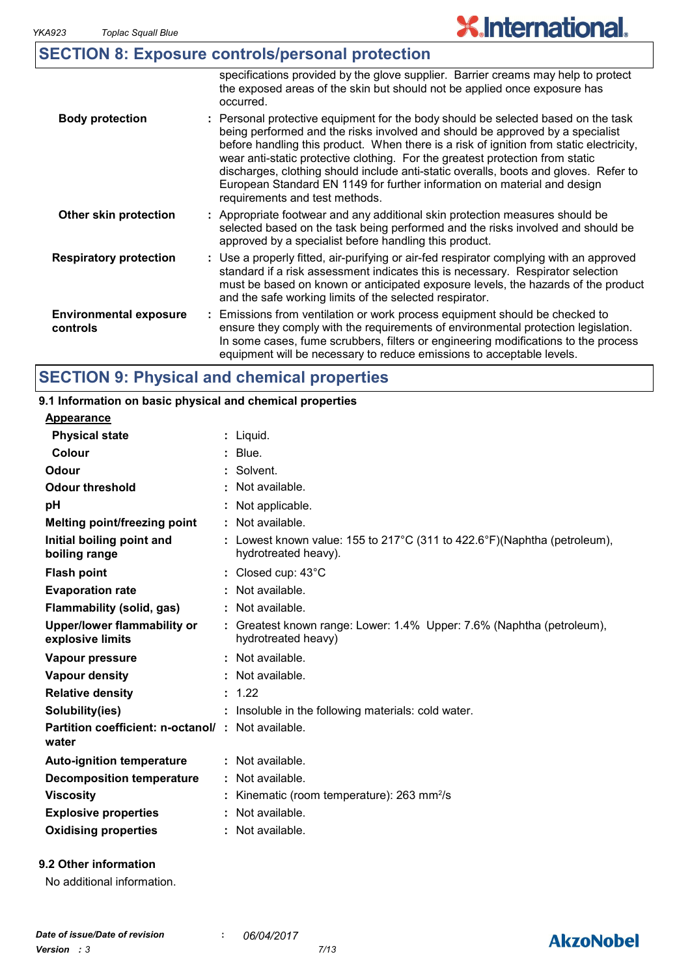|                                           | <b>SECTION 8: Exposure controls/personal protection</b>                                                                                                                                                                                                                                                                                                                                                                                                                                                                                              |  |
|-------------------------------------------|------------------------------------------------------------------------------------------------------------------------------------------------------------------------------------------------------------------------------------------------------------------------------------------------------------------------------------------------------------------------------------------------------------------------------------------------------------------------------------------------------------------------------------------------------|--|
|                                           | specifications provided by the glove supplier. Barrier creams may help to protect<br>the exposed areas of the skin but should not be applied once exposure has<br>occurred.                                                                                                                                                                                                                                                                                                                                                                          |  |
| <b>Body protection</b>                    | : Personal protective equipment for the body should be selected based on the task<br>being performed and the risks involved and should be approved by a specialist<br>before handling this product. When there is a risk of ignition from static electricity,<br>wear anti-static protective clothing. For the greatest protection from static<br>discharges, clothing should include anti-static overalls, boots and gloves. Refer to<br>European Standard EN 1149 for further information on material and design<br>requirements and test methods. |  |
| Other skin protection                     | : Appropriate footwear and any additional skin protection measures should be<br>selected based on the task being performed and the risks involved and should be<br>approved by a specialist before handling this product.                                                                                                                                                                                                                                                                                                                            |  |
| <b>Respiratory protection</b>             | : Use a properly fitted, air-purifying or air-fed respirator complying with an approved<br>standard if a risk assessment indicates this is necessary. Respirator selection<br>must be based on known or anticipated exposure levels, the hazards of the product<br>and the safe working limits of the selected respirator.                                                                                                                                                                                                                           |  |
| <b>Environmental exposure</b><br>controls | : Emissions from ventilation or work process equipment should be checked to<br>ensure they comply with the requirements of environmental protection legislation.<br>In some cases, fume scrubbers, filters or engineering modifications to the process<br>equipment will be necessary to reduce emissions to acceptable levels.                                                                                                                                                                                                                      |  |

### **SECTION 9: Physical and chemical properties**

#### Liquid. **: Appearance** Lowest known value: 155 to 217°C (311 to 422.6°F)(Naphtha (petroleum), **:** hydrotreated heavy). **Physical state Melting point/freezing point Initial boiling point and boiling range Vapour pressure Relative density Vapour density Solubility(ies)** Not available. **:** 1.22 **:** Not available. **:** Not available. **: :** Insoluble in the following materials: cold water. **Odour** Solvent. **pH Colour** : Blue. **Evaporation rate Auto-ignition temperature Flash point** Not available. **:** Closed cup: 43°C **:** Greatest known range: Lower: 1.4% Upper: 7.6% (Naphtha (petroleum), **:** hydrotreated heavy) Not available. **: Partition coefficient: n-octanol/ : Not available.** Not applicable. **: Viscosity Kinematic (room temperature): 263 mm<sup>2</sup>/s Odour threshold water Upper/lower flammability or explosive limits Explosive properties** : Not available. **: Oxidising properties :** Not available. **9.1 Information on basic physical and chemical properties 9.2 Other information Decomposition temperature :** Not available. **Flammability (solid, gas) :** Not available.

No additional information.

### **AkzoNobel**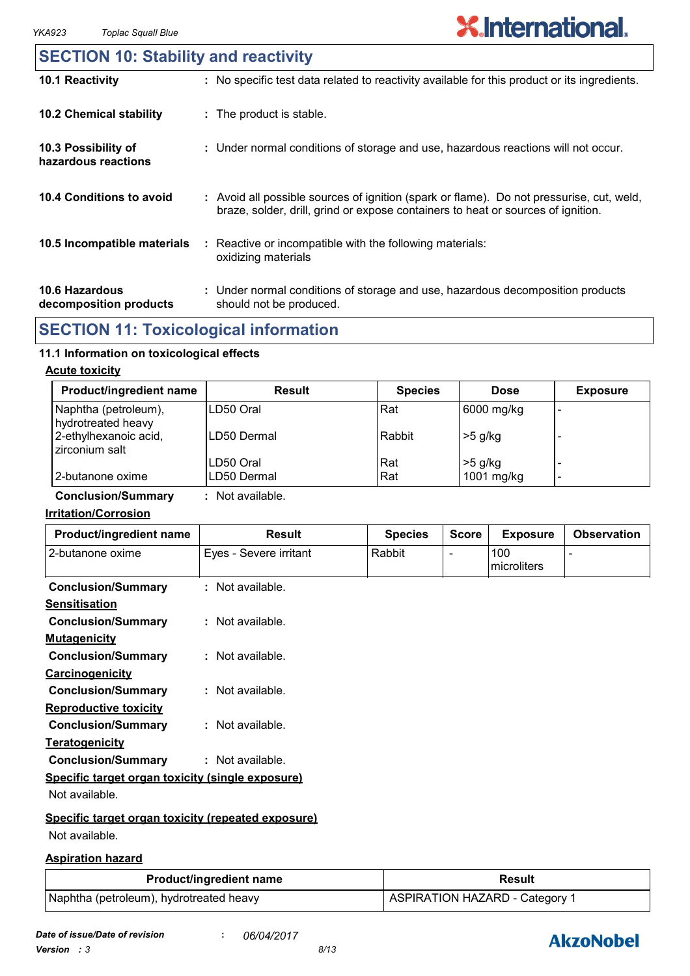#### **10.6 Hazardous decomposition products 10.4 Conditions to avoid** : Avoid all possible sources of ignition (spark or flame). Do not pressurise, cut, weld, braze, solder, drill, grind or expose containers to heat or sources of ignition. Under normal conditions of storage and use, hazardous decomposition products **:** should not be produced. **10.2 Chemical stability** : Reactive or incompatible with the following materials: oxidizing materials **: 10.5 Incompatible materials : 10.3 Possibility of hazardous reactions :** Under normal conditions of storage and use, hazardous reactions will not occur. **SECTION 10: Stability and reactivity 10.1 Reactivity :** No specific test data related to reactivity available for this product or its ingredients.

### **SECTION 11: Toxicological information**

#### **11.1 Information on toxicological effects**

#### **Acute toxicity**

| <b>Product/ingredient name</b>             | Result      | <b>Species</b> | <b>Dose</b> | <b>Exposure</b> |
|--------------------------------------------|-------------|----------------|-------------|-----------------|
| Naphtha (petroleum),<br>hydrotreated heavy | ILD50 Oral  | Rat            | 6000 mg/kg  |                 |
| 2-ethylhexanoic acid,<br>zirconium salt    | LD50 Dermal | Rabbit         | $>5$ g/kg   |                 |
|                                            | LD50 Oral   | Rat            | $>5$ g/kg   |                 |
| 2-butanone oxime                           | LD50 Dermal | Rat            | 1001 mg/kg  | -               |

**Conclusion/Summary :** Not available.

#### **Irritation/Corrosion**

| Product/ingredient name                            | <b>Result</b>          | <b>Species</b> | <b>Score</b> | <b>Exposure</b>    | <b>Observation</b> |
|----------------------------------------------------|------------------------|----------------|--------------|--------------------|--------------------|
| 2-butanone oxime                                   | Eyes - Severe irritant | Rabbit         |              | 100<br>microliters |                    |
| <b>Conclusion/Summary</b>                          | : Not available.       |                |              |                    |                    |
| <b>Sensitisation</b>                               |                        |                |              |                    |                    |
| <b>Conclusion/Summary</b>                          | : Not available.       |                |              |                    |                    |
| <b>Mutagenicity</b>                                |                        |                |              |                    |                    |
| <b>Conclusion/Summary</b>                          | : Not available.       |                |              |                    |                    |
| Carcinogenicity                                    |                        |                |              |                    |                    |
| <b>Conclusion/Summary</b>                          | : Not available.       |                |              |                    |                    |
| <b>Reproductive toxicity</b>                       |                        |                |              |                    |                    |
| <b>Conclusion/Summary</b>                          | : Not available.       |                |              |                    |                    |
| <b>Teratogenicity</b>                              |                        |                |              |                    |                    |
| <b>Conclusion/Summary</b>                          | : Not available.       |                |              |                    |                    |
| Specific target organ toxicity (single exposure)   |                        |                |              |                    |                    |
| Not available.                                     |                        |                |              |                    |                    |
| Specific target organ toxicity (repeated exposure) |                        |                |              |                    |                    |
| Not available.                                     |                        |                |              |                    |                    |

#### **Aspiration hazard**

| <b>Product/ingredient name</b>          | Result                         |  |
|-----------------------------------------|--------------------------------|--|
| Naphtha (petroleum), hydrotreated heavy | ASPIRATION HAZARD - Category 1 |  |

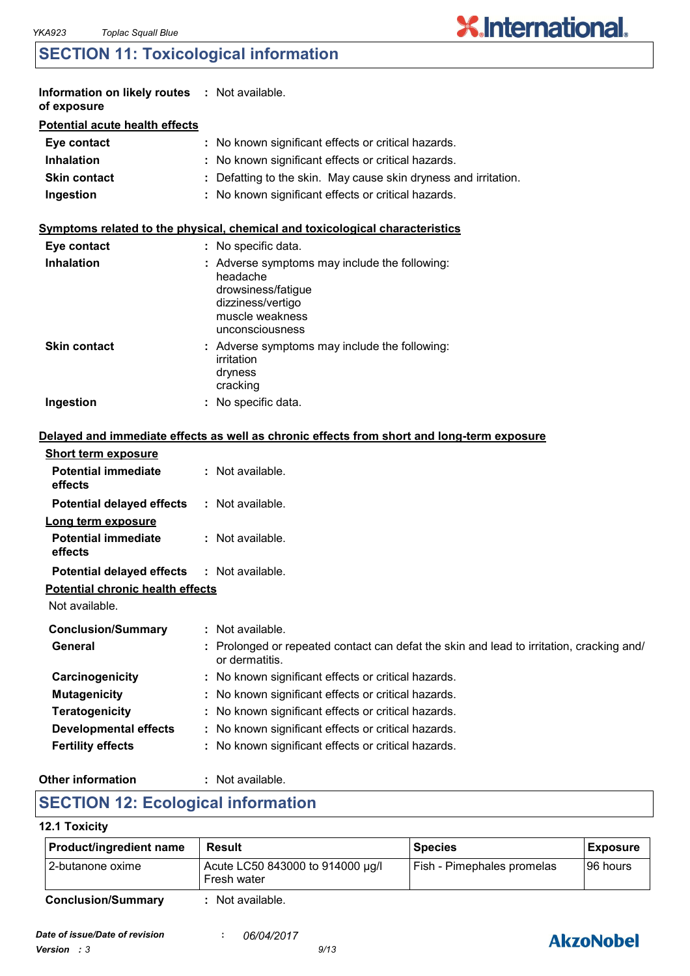### **SECTION 11: Toxicological information**

| Information on likely routes : Not available.<br>of exposure |                                                                                                                                          |
|--------------------------------------------------------------|------------------------------------------------------------------------------------------------------------------------------------------|
| <b>Potential acute health effects</b>                        |                                                                                                                                          |
| Eye contact                                                  | : No known significant effects or critical hazards.                                                                                      |
| <b>Inhalation</b>                                            | : No known significant effects or critical hazards.                                                                                      |
| <b>Skin contact</b>                                          | : Defatting to the skin. May cause skin dryness and irritation.                                                                          |
| Ingestion                                                    | : No known significant effects or critical hazards.                                                                                      |
|                                                              | Symptoms related to the physical, chemical and toxicological characteristics                                                             |
| Eye contact                                                  | : No specific data.                                                                                                                      |
| <b>Inhalation</b>                                            | Adverse symptoms may include the following:<br>headache<br>drowsiness/fatigue<br>dizziness/vertigo<br>muscle weakness<br>unconsciousness |
| <b>Skin contact</b>                                          | : Adverse symptoms may include the following:<br>irritation<br>dryness<br>cracking                                                       |
| Ingestion                                                    | : No specific data.                                                                                                                      |
|                                                              | Delayed and immediate effects as well as chronic effects from short and long-term exposure                                               |
| <b>Short term exposure</b>                                   |                                                                                                                                          |
| <b>Potential immediate</b><br>effects                        | : Not available.                                                                                                                         |
| <b>Potential delayed effects</b>                             | : Not available.                                                                                                                         |
| Long term exposure                                           |                                                                                                                                          |
| <b>Potential immediate</b><br>effects                        | : Not available.                                                                                                                         |
| <b>Potential delayed effects</b>                             | : Not available.                                                                                                                         |
| <b>Potential chronic health effects</b>                      |                                                                                                                                          |
| Not available.                                               |                                                                                                                                          |
| <b>Conclusion/Summary</b>                                    | : Not available.                                                                                                                         |
| <b>General</b>                                               | Prolonged or repeated contact can defat the skin and lead to irritation, cracking and/<br>or dermatitis.                                 |
| Carcinogenicity                                              | No known significant effects or critical hazards.                                                                                        |
| <b>Mutagenicity</b>                                          | No known significant effects or critical hazards.                                                                                        |
| <b>Teratogenicity</b>                                        | No known significant effects or critical hazards.                                                                                        |
| <b>Developmental effects</b>                                 | No known significant effects or critical hazards.                                                                                        |
| <b>Fertility effects</b>                                     | No known significant effects or critical hazards.                                                                                        |
|                                                              |                                                                                                                                          |

#### **Other information :**

: Not available.

### **SECTION 12: Ecological information**

#### **12.1 Toxicity**

| Product/ingredient name   | Result                                          | <b>Species</b>             | <b>Exposure</b> |
|---------------------------|-------------------------------------------------|----------------------------|-----------------|
| I 2-butanone oxime        | Acute LC50 843000 to 914000 µg/l<br>Fresh water | Fish - Pimephales promelas | 96 hours        |
| <b>Conclusion/Summary</b> | Not available.                                  |                            |                 |



**X.International.**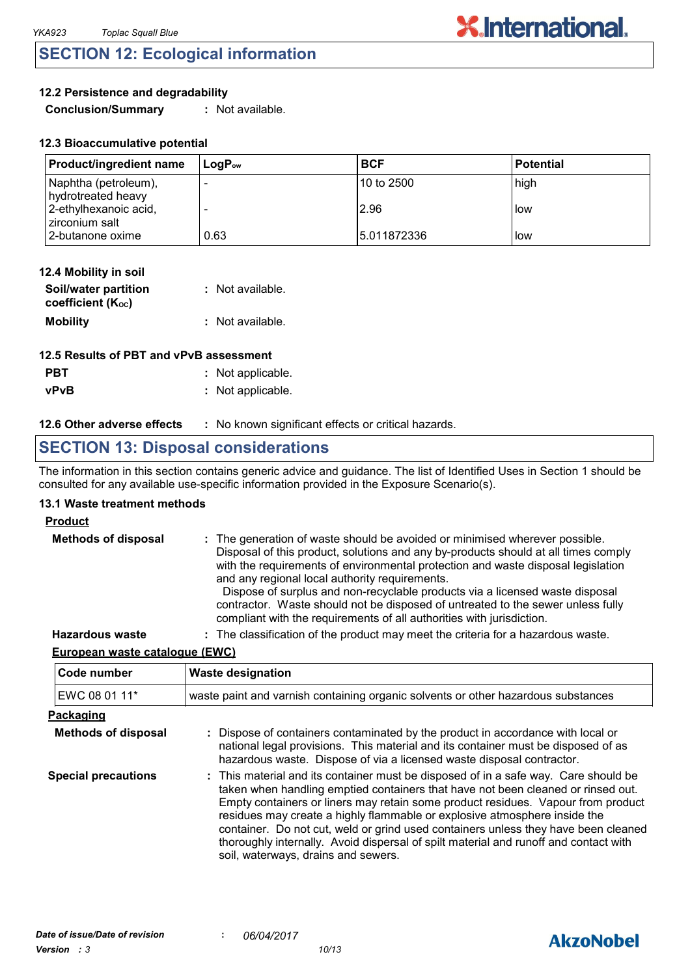### **SECTION 12: Ecological information**

#### **12.2 Persistence and degradability**

**Conclusion/Summary :** Not available.

| <b>Product/ingredient name</b>             | $\mathsf{Loa}\mathsf{P}_\mathsf{ow}$ | <b>BCF</b>   | l Potential |
|--------------------------------------------|--------------------------------------|--------------|-------------|
| Naphtha (petroleum),<br>hydrotreated heavy |                                      | 10 to 2500   | high        |
| 2-ethylhexanoic acid,<br>zirconium salt    |                                      | 2.96         | l low       |
| 2-butanone oxime                           | 0.63                                 | 15.011872336 | llow        |

| 12.4 Mobility in soil                     |                  |
|-------------------------------------------|------------------|
| Soil/water partition<br>coefficient (Koc) | : Not available. |
| <b>Mobility</b>                           | : Not available. |

| 12.5 Results of PBT and vPvB assessment |                   |  |
|-----------------------------------------|-------------------|--|
| <b>PBT</b>                              | : Not applicable. |  |
| <b>vPvB</b>                             | : Not applicable. |  |

#### **12.6 Other adverse effects** : No known significant effects or critical hazards.

### **SECTION 13: Disposal considerations**

The information in this section contains generic advice and guidance. The list of Identified Uses in Section 1 should be consulted for any available use-specific information provided in the Exposure Scenario(s).

#### **13.1 Waste treatment methods**

#### **Product**

| <b>Methods of disposal</b> | : The generation of waste should be avoided or minimised wherever possible.<br>Disposal of this product, solutions and any by-products should at all times comply<br>with the requirements of environmental protection and waste disposal legislation<br>and any regional local authority requirements.<br>Dispose of surplus and non-recyclable products via a licensed waste disposal<br>contractor. Waste should not be disposed of untreated to the sewer unless fully<br>compliant with the requirements of all authorities with jurisdiction. |
|----------------------------|-----------------------------------------------------------------------------------------------------------------------------------------------------------------------------------------------------------------------------------------------------------------------------------------------------------------------------------------------------------------------------------------------------------------------------------------------------------------------------------------------------------------------------------------------------|
| <b>Hazardous waste</b>     | : The classification of the product may meet the criteria for a hazardous waste.                                                                                                                                                                                                                                                                                                                                                                                                                                                                    |

#### **European waste catalogue (EWC)**

| Code number                | <b>Waste designation</b>                                                                                                                                                                                                                                                                                                                                                                                                                                                                                                                                      |
|----------------------------|---------------------------------------------------------------------------------------------------------------------------------------------------------------------------------------------------------------------------------------------------------------------------------------------------------------------------------------------------------------------------------------------------------------------------------------------------------------------------------------------------------------------------------------------------------------|
| EWC 08 01 11*              | waste paint and varnish containing organic solvents or other hazardous substances                                                                                                                                                                                                                                                                                                                                                                                                                                                                             |
| Packaging                  |                                                                                                                                                                                                                                                                                                                                                                                                                                                                                                                                                               |
| <b>Methods of disposal</b> | : Dispose of containers contaminated by the product in accordance with local or<br>national legal provisions. This material and its container must be disposed of as<br>hazardous waste. Dispose of via a licensed waste disposal contractor.                                                                                                                                                                                                                                                                                                                 |
| <b>Special precautions</b> | : This material and its container must be disposed of in a safe way. Care should be<br>taken when handling emptied containers that have not been cleaned or rinsed out.<br>Empty containers or liners may retain some product residues. Vapour from product<br>residues may create a highly flammable or explosive atmosphere inside the<br>container. Do not cut, weld or grind used containers unless they have been cleaned<br>thoroughly internally. Avoid dispersal of spilt material and runoff and contact with<br>soil, waterways, drains and sewers. |

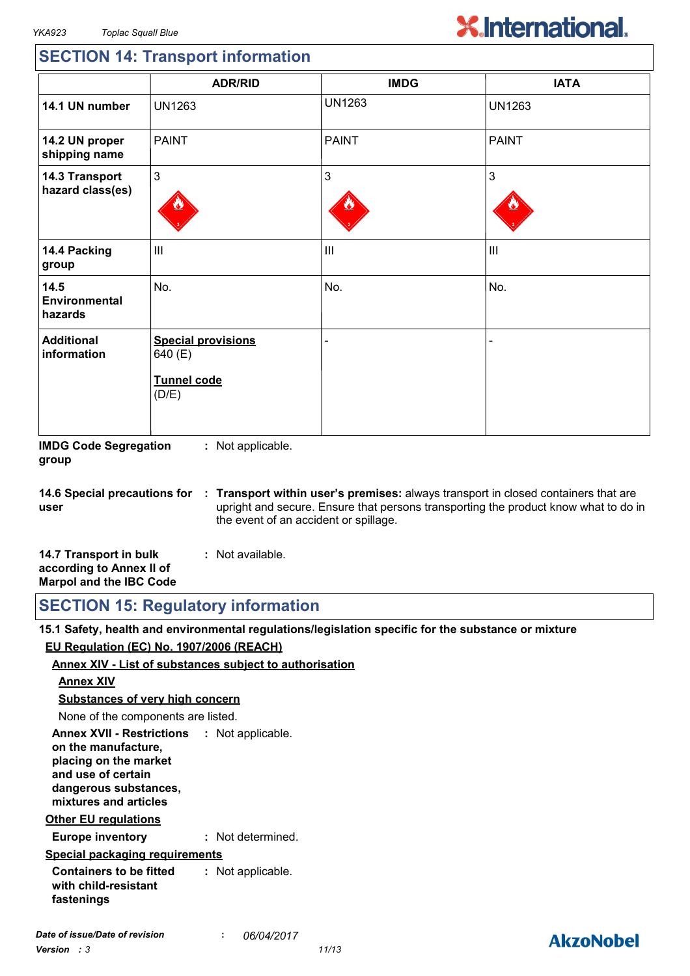### **SECTION 14: Transport information**

|                                    | <b>ADR/RID</b>                                               | <b>IMDG</b>    | <b>IATA</b>    |
|------------------------------------|--------------------------------------------------------------|----------------|----------------|
| 14.1 UN number                     | <b>UN1263</b>                                                | <b>UN1263</b>  | <b>UN1263</b>  |
| 14.2 UN proper<br>shipping name    | <b>PAINT</b>                                                 | <b>PAINT</b>   | <b>PAINT</b>   |
| 14.3 Transport<br>hazard class(es) | $\mathfrak{S}$                                               | 3              | 3              |
| 14.4 Packing<br>group              | $\mathbf{III}$                                               | $\mathbf{III}$ | $\mathbf{III}$ |
| 14.5<br>Environmental<br>hazards   | No.                                                          | No.            | No.            |
| <b>Additional</b><br>information   | <b>Special provisions</b><br>640 (E)<br>Tunnel code<br>(D/E) |                |                |

**IMDG Code Segregation group :** Not applicable.

**14.6 Special precautions for user Transport within user's premises:** always transport in closed containers that are **:** upright and secure. Ensure that persons transporting the product know what to do in the event of an accident or spillage.

| 14.7 Transport in bulk         | : Not available. |  |
|--------------------------------|------------------|--|
| according to Annex II of       |                  |  |
| <b>Marpol and the IBC Code</b> |                  |  |

**SECTION 15: Regulatory information**

**15.1 Safety, health and environmental regulations/legislation specific for the substance or mixture EU Regulation (EC) No. 1907/2006 (REACH)**

#### **Annex XIV - List of substances subject to authorisation**

#### **Annex XIV**

**Substances of very high concern**

None of the components are listed.

**Annex XVII - Restrictions : Not applicable. on the manufacture, placing on the market and use of certain dangerous substances, mixtures and articles**

#### **Other EU regulations**

**Europe inventory :** Not determined.

#### **Special packaging requirements**

**Containers to be fitted with child-resistant fastenings :** Not applicable.

### **AkzoNobel**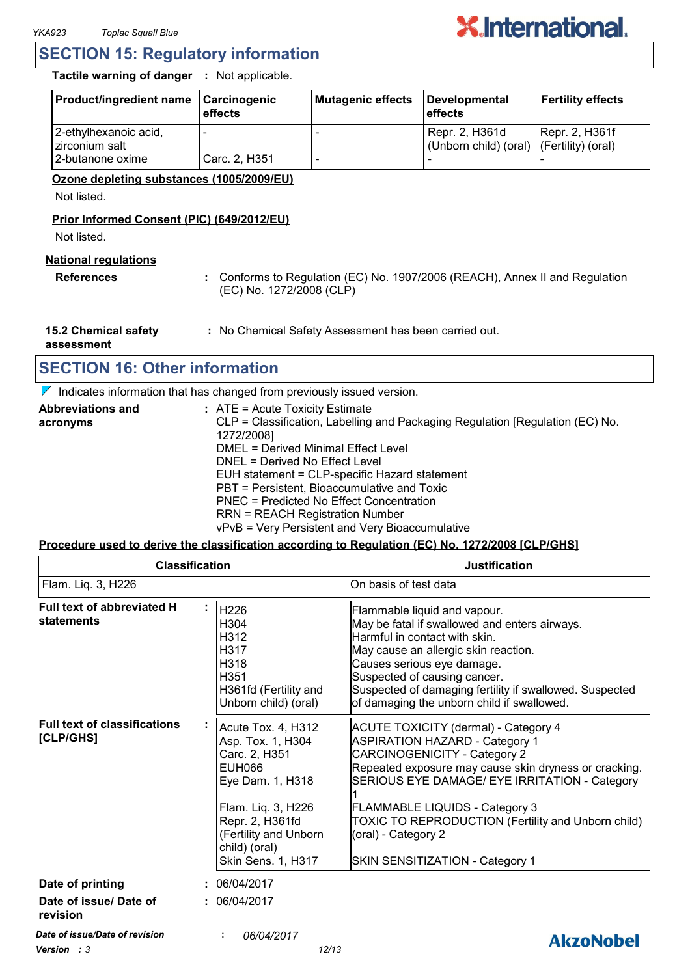### **SECTION 15: Regulatory information**

**Tactile warning of danger :** Not applicable.

| <b>Product/ingredient name</b>                               | Carcinogenic<br>effects | Mutagenic effects | Developmental<br>l effects                                 | Fertility effects     |
|--------------------------------------------------------------|-------------------------|-------------------|------------------------------------------------------------|-----------------------|
| 2-ethylhexanoic acid,<br>zirconium salt<br>'2-butanone oxime | Carc. 2, H351           |                   | Repr. 2, H361d<br>(Unborn child) (oral) (Fertility) (oral) | <b>Repr. 2, H361f</b> |

#### **Ozone depleting substances (1005/2009/EU)**

Not listed.

#### **Prior Informed Consent (PIC) (649/2012/EU)**

Not listed.

#### **National regulations**

**References :** Conforms to Regulation (EC) No. 1907/2006 (REACH), Annex II and Regulation (EC) No. 1272/2008 (CLP)

**15.2 Chemical safety :** No Chemical Safety Assessment has been carried out.

**assessment**

### **SECTION 16: Other information**

 $\nabla$  Indicates information that has changed from previously issued version.

| <b>Abbreviations and</b> | $:$ ATE = Acute Toxicity Estimate                                             |
|--------------------------|-------------------------------------------------------------------------------|
| acronyms                 | CLP = Classification, Labelling and Packaging Regulation [Regulation (EC) No. |
|                          | 1272/2008]                                                                    |
|                          | DMEL = Derived Minimal Effect Level                                           |
|                          | DNEL = Derived No Effect Level                                                |
|                          | EUH statement = CLP-specific Hazard statement                                 |
|                          | PBT = Persistent, Bioaccumulative and Toxic                                   |
|                          | PNEC = Predicted No Effect Concentration                                      |
|                          | <b>RRN = REACH Registration Number</b>                                        |
|                          | vPvB = Very Persistent and Very Bioaccumulative                               |

#### **Procedure used to derive the classification according to Regulation (EC) No. 1272/2008 [CLP/GHS]**

| <b>Classification</b><br>Flam. Liq. 3, H226      |                                                                                                                                                                                                        | <b>Justification</b><br>On basis of test data                                                                                                                                                                                                                                                                                                                                                  |  |
|--------------------------------------------------|--------------------------------------------------------------------------------------------------------------------------------------------------------------------------------------------------------|------------------------------------------------------------------------------------------------------------------------------------------------------------------------------------------------------------------------------------------------------------------------------------------------------------------------------------------------------------------------------------------------|--|
|                                                  |                                                                                                                                                                                                        |                                                                                                                                                                                                                                                                                                                                                                                                |  |
| <b>Full text of classifications</b><br>[CLP/GHS] | Acute Tox. 4, H312<br>Asp. Tox. 1, H304<br>Carc. 2, H351<br><b>EUH066</b><br>Eye Dam. 1, H318<br>Flam. Liq. 3, H226<br>Repr. 2, H361fd<br>(Fertility and Unborn<br>child) (oral)<br>Skin Sens. 1, H317 | <b>ACUTE TOXICITY (dermal) - Category 4</b><br><b>ASPIRATION HAZARD - Category 1</b><br><b>CARCINOGENICITY - Category 2</b><br>Repeated exposure may cause skin dryness or cracking.<br>SERIOUS EYE DAMAGE/ EYE IRRITATION - Category<br><b>FLAMMABLE LIQUIDS - Category 3</b><br>TOXIC TO REPRODUCTION (Fertility and Unborn child)<br>(oral) - Category 2<br>SKIN SENSITIZATION - Category 1 |  |
| Date of printing                                 | 06/04/2017                                                                                                                                                                                             |                                                                                                                                                                                                                                                                                                                                                                                                |  |
| Date of issue/ Date of<br>revision               | : 06/04/2017                                                                                                                                                                                           |                                                                                                                                                                                                                                                                                                                                                                                                |  |
| Date of issue/Date of revision                   | 06/04/2017                                                                                                                                                                                             | AkzoNobel                                                                                                                                                                                                                                                                                                                                                                                      |  |